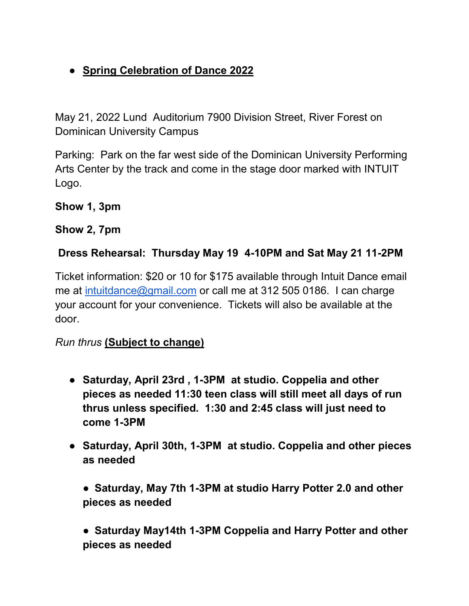# ● **Spring Celebration of Dance 2022**

May 21, 2022 Lund Auditorium 7900 Division Street, River Forest on Dominican University Campus

Parking: Park on the far west side of the Dominican University Performing Arts Center by the track and come in the stage door marked with INTUIT Logo.

**Show 1, 3pm**

**Show 2, 7pm**

#### **Dress Rehearsal: Thursday May 19 4-10PM and Sat May 21 11-2PM**

Ticket information: \$20 or 10 for \$175 available through Intuit Dance email me at [intuitdance@gmail.com](mailto:intuitdance@gmail.com) or call me at 312 505 0186. I can charge your account for your convenience. Tickets will also be available at the door.

#### *Run thrus* **(Subject to change)**

- **Saturday, April 23rd , 1-3PM at studio. Coppelia and other pieces as needed 11:30 teen class will still meet all days of run thrus unless specified. 1:30 and 2:45 class will just need to come 1-3PM**
- **Saturday, April 30th, 1-3PM at studio. Coppelia and other pieces as needed**

● **Saturday, May 7th 1-3PM at studio Harry Potter 2.0 and other pieces as needed**

● **Saturday May14th 1-3PM Coppelia and Harry Potter and other pieces as needed**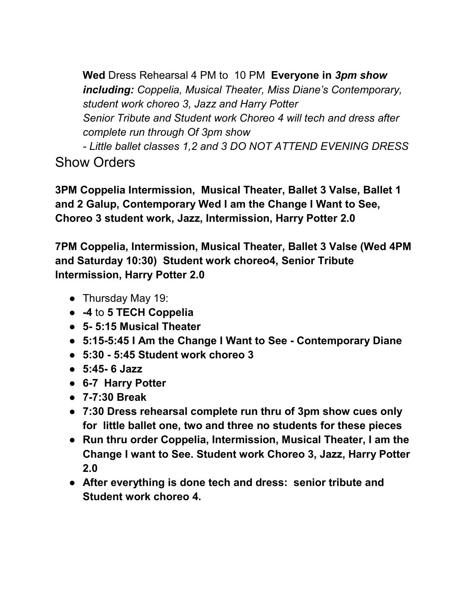**Wed** Dress Rehearsal 4 PM to 10 PM **Everyone in** *3pm show including: Coppelia, Musical Theater, Miss Diane's Contemporary, student work choreo 3, Jazz and Harry Potter Senior Tribute and Student work Choreo 4 will tech and dress after complete run through Of 3pm show* 

*- Little ballet classes 1,2 and 3 DO NOT ATTEND EVENING DRESS* Show Orders

**3PM Coppelia Intermission, Musical Theater, Ballet 3 Valse, Ballet 1 and 2 Galup, Contemporary Wed I am the Change I Want to See, Choreo 3 student work, Jazz, Intermission, Harry Potter 2.0**

**7PM Coppelia, Intermission, Musical Theater, Ballet 3 Valse (Wed 4PM and Saturday 10:30) Student work choreo4, Senior Tribute Intermission, Harry Potter 2.0** 

- Thursday May 19:
- **-4** to **5 TECH Coppelia**
- **5- 5:15 Musical Theater**
- **5:15-5:45 I Am the Change I Want to See - Contemporary Diane**
- **5:30 - 5:45 Student work choreo 3**
- **5:45- 6 Jazz**
- **6-7 Harry Potter**
- **7-7:30 Break**
- **7:30 Dress rehearsal complete run thru of 3pm show cues only for little ballet one, two and three no students for these pieces**
- **Run thru order Coppelia, Intermission, Musical Theater, I am the Change I want to See. Student work Choreo 3, Jazz, Harry Potter 2.0**
- **After everything is done tech and dress: senior tribute and Student work choreo 4.**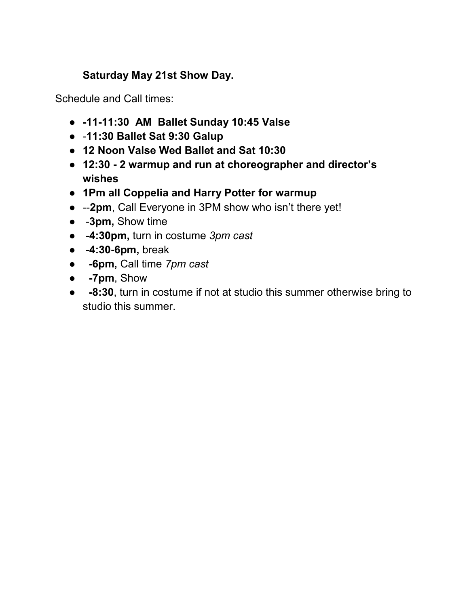### **Saturday May 21st Show Day.**

Schedule and Call times:

- **-11-11:30 AM Ballet Sunday 10:45 Valse**
- -**11:30 Ballet Sat 9:30 Galup**
- **12 Noon Valse Wed Ballet and Sat 10:30**
- **12:30 - 2 warmup and run at choreographer and director's wishes**
- **1Pm all Coppelia and Harry Potter for warmup**
- --**2pm**, Call Everyone in 3PM show who isn't there yet!
- -**3pm,** Show time
- -**4:30pm,** turn in costume *3pm cast*
- -**4:30-6pm,** break
- ● **-6pm,** Call time *7pm cast*
- **-7pm**, Show
- **-8:30**, turn in costume if not at studio this summer otherwise bring to studio this summer.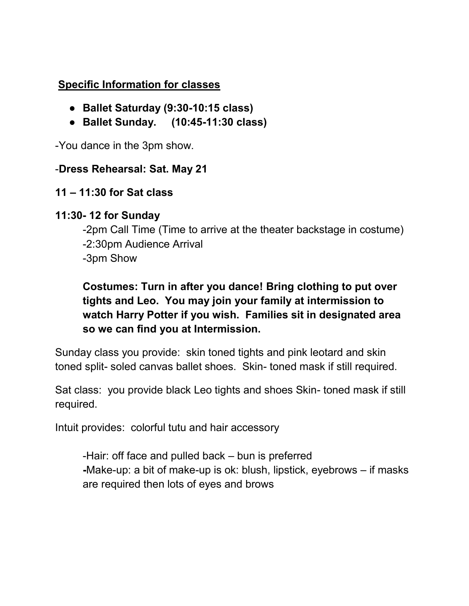#### **Specific Information for classes**

- **Ballet Saturday (9:30-10:15 class)**
- **Ballet Sunday. (10:45-11:30 class)**

-You dance in the 3pm show.

#### -**Dress Rehearsal: Sat. May 21**

### **11 – 11:30 for Sat class**

### **11:30- 12 for Sunday**

-2pm Call Time (Time to arrive at the theater backstage in costume) -2:30pm Audience Arrival -3pm Show

## **Costumes: Turn in after you dance! Bring clothing to put over tights and Leo. You may join your family at intermission to watch Harry Potter if you wish. Families sit in designated area so we can find you at Intermission.**

Sunday class you provide: skin toned tights and pink leotard and skin toned split- soled canvas ballet shoes. Skin- toned mask if still required.

Sat class: you provide black Leo tights and shoes Skin- toned mask if still required.

Intuit provides: colorful tutu and hair accessory

-Hair: off face and pulled back – bun is preferred **-**Make-up: a bit of make-up is ok: blush, lipstick, eyebrows – if masks are required then lots of eyes and brows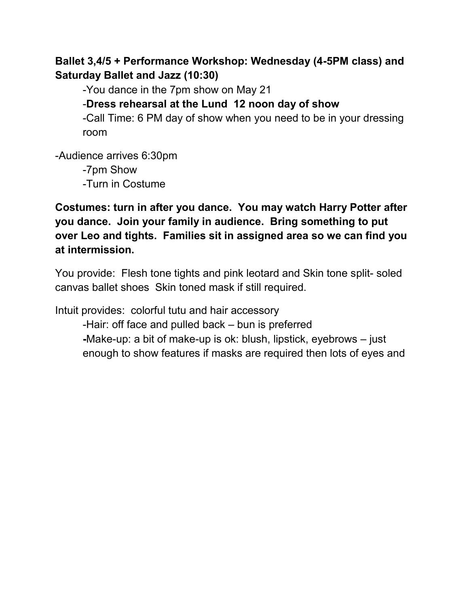**Ballet 3,4/5 + Performance Workshop: Wednesday (4-5PM class) and Saturday Ballet and Jazz (10:30)**

-You dance in the 7pm show on May 21

-**Dress rehearsal at the Lund 12 noon day of show**

-Call Time: 6 PM day of show when you need to be in your dressing room

-Audience arrives 6:30pm

-7pm Show -Turn in Costume

**Costumes: turn in after you dance. You may watch Harry Potter after you dance. Join your family in audience. Bring something to put over Leo and tights. Families sit in assigned area so we can find you at intermission.** 

You provide: Flesh tone tights and pink leotard and Skin tone split- soled canvas ballet shoes Skin toned mask if still required.

Intuit provides: colorful tutu and hair accessory

-Hair: off face and pulled back – bun is preferred **-**Make-up: a bit of make-up is ok: blush, lipstick, eyebrows – just

enough to show features if masks are required then lots of eyes and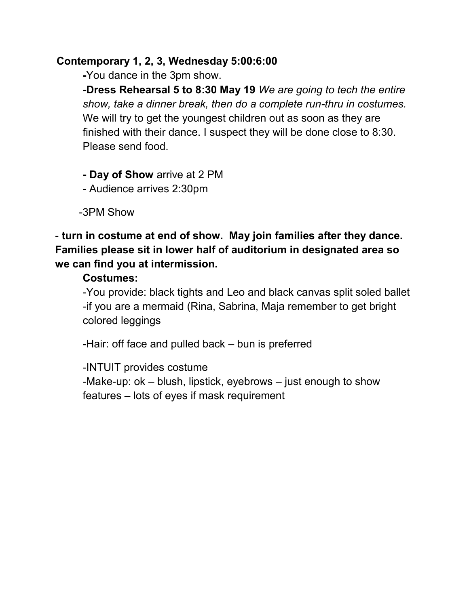#### **Contemporary 1, 2, 3, Wednesday 5:00:6:00**

**-**You dance in the 3pm show.

**-Dress Rehearsal 5 to 8:30 May 19** *We are going to tech the entire show, take a dinner break, then do a complete run-thru in costumes.*  We will try to get the youngest children out as soon as they are finished with their dance. I suspect they will be done close to 8:30. Please send food.

**- Day of Show** arrive at 2 PM

- Audience arrives 2:30pm

-3PM Show

- **turn in costume at end of show. May join families after they dance. Families please sit in lower half of auditorium in designated area so we can find you at intermission.** 

### **Costumes:**

-You provide: black tights and Leo and black canvas split soled ballet -if you are a mermaid (Rina, Sabrina, Maja remember to get bright colored leggings

-Hair: off face and pulled back – bun is preferred

-INTUIT provides costume

-Make-up: ok – blush, lipstick, eyebrows – just enough to show features – lots of eyes if mask requirement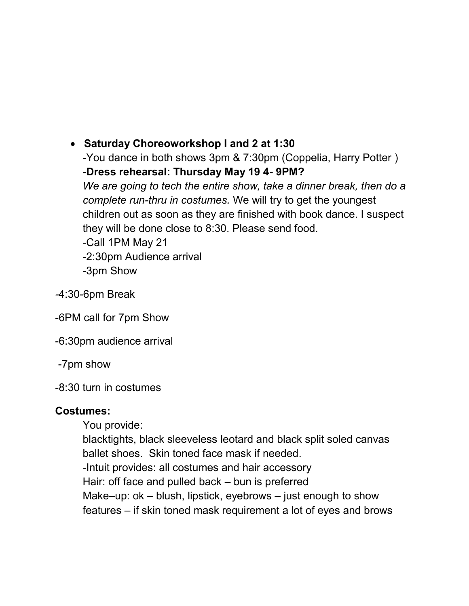x **Saturday Choreoworkshop I and 2 at 1:30**  -You dance in both shows 3pm & 7:30pm (Coppelia, Harry Potter ) **-Dress rehearsal: Thursday May 19 4- 9PM?**  *We are going to tech the entire show, take a dinner break, then do a complete run-thru in costumes.* We will try to get the youngest children out as soon as they are finished with book dance. I suspect they will be done close to 8:30. Please send food. -Call 1PM May 21 -2:30pm Audience arrival

-3pm Show

*-*4:30-6pm Break

-6PM call for 7pm Show

-6:30pm audience arrival

-7pm show

-8:30 turn in costumes

#### **Costumes:**

You provide:

blacktights, black sleeveless leotard and black split soled canvas ballet shoes. Skin toned face mask if needed. -Intuit provides: all costumes and hair accessory Hair: off face and pulled back – bun is preferred Make–up:  $ok$  – blush, lipstick, eyebrows – just enough to show features – if skin toned mask requirement a lot of eyes and brows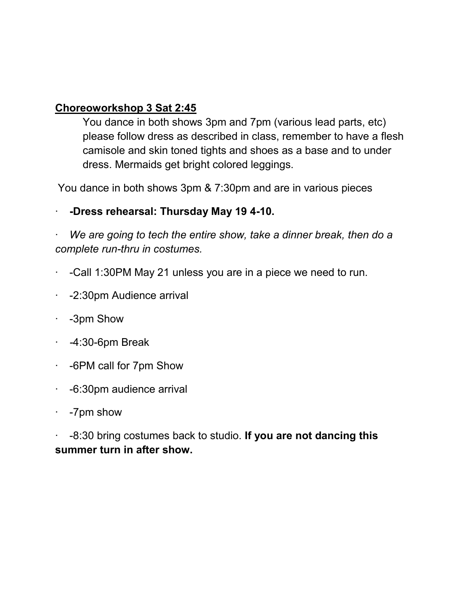#### **Choreoworkshop 3 Sat 2:45**

You dance in both shows 3pm and 7pm (various lead parts, etc) please follow dress as described in class, remember to have a flesh camisole and skin toned tights and shoes as a base and to under dress. Mermaids get bright colored leggings.

You dance in both shows 3pm & 7:30pm and are in various pieces

### · **-Dress rehearsal: Thursday May 19 4-10.**

· *We are going to tech the entire show, take a dinner break, then do a complete run-thru in costumes.*

- · -Call 1:30PM May 21 unless you are in a piece we need to run.
- · -2:30pm Audience arrival
- · -3pm Show
- · *-*4:30-6pm Break
- · -6PM call for 7pm Show
- · -6:30pm audience arrival
- · -7pm show

· -8:30 bring costumes back to studio. **If you are not dancing this summer turn in after show.**